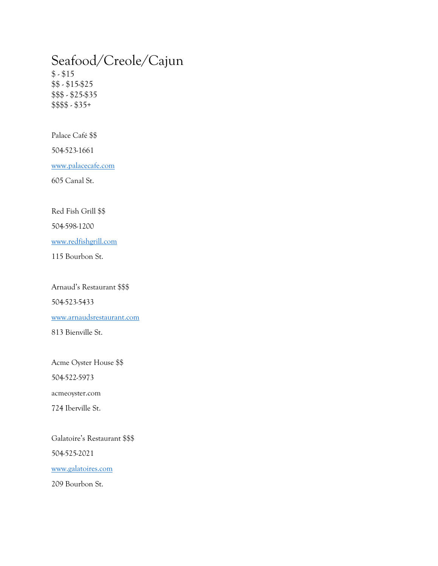### Seafood/Creole/Cajun  $$ - $15$ \$\$ - \$15-\$25 \$\$\$ - \$25-\$35 \$\$\$\$ - \$35+

Palace Café \$\$

504-523-1661

[www.palacecafe.com](http://www.palacecafe.com/)

605 Canal St.

Red Fish Grill \$\$

504-598-1200

[www.redfishgrill.com](http://www.redfishgrill.com/)

115 Bourbon St.

Arnaud's Restaurant \$\$\$

504-523-5433

[www.arnaudsrestaurant.com](http://www.arnaudsrestaurant.com/) 

813 Bienville St.

Acme Oyster House \$\$

504-522-5973

acmeoyster.com

724 Iberville St.

Galatoire's Restaurant \$\$\$ 504-525-2021 [www.galatoires.com](http://www.galatoires.com/)

209 Bourbon St.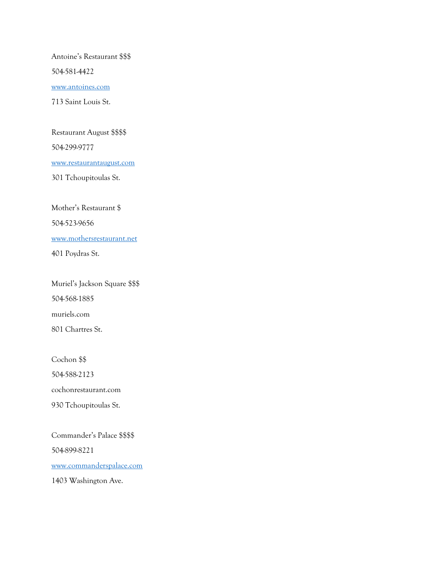Antoine's Restaurant \$\$\$

504-581-4422

[www.antoines.com](http://www.antoines.com/)

713 Saint Louis St.

Restaurant August \$\$\$\$

504-299-9777

[www.restaurantaugust.com](http://www.restaurantaugust.com/)

301 Tchoupitoulas St.

Mother's Restaurant \$ 504-523-9656 [www.mothersrestaurant.net](http://www.mothersrestaurant.net/) 401 Poydras St.

Muriel's Jackson Square \$\$\$ 504-568-1885 muriels.com 801 Chartres St.

Cochon \$\$ 504-588-2123 cochonrestaurant.com 930 Tchoupitoulas St.

Commander's Palace \$\$\$\$ 504-899-8221 [www.commanderspalace.com](http://www.commanderspalace.com/) 1403 Washington Ave.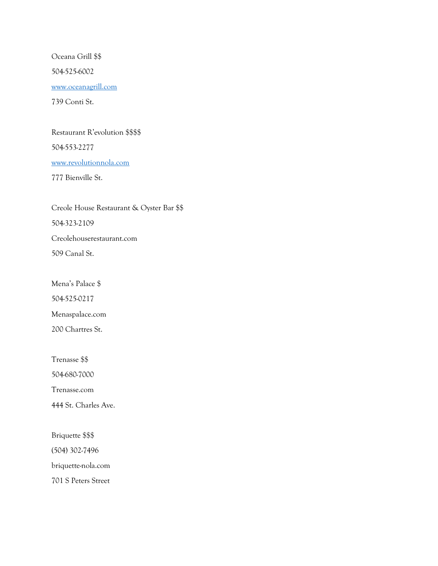Oceana Grill \$\$ 504-525-6002 [www.oceanagrill.com](http://www.oceanagrill.com/) 739 Conti St.

#### Restaurant R'evolution \$\$\$\$

504-553-2277

[www.revolutionnola.com](http://www.revolutionnola.com/)

777 Bienville St.

Creole House Restaurant & Oyster Bar \$\$ 504-323-2109 Creolehouserestaurant.com 509 Canal St.

Mena's Palace \$ 504-525-0217

Menaspalace.com

200 Chartres St.

Trenasse \$\$ 504-680-7000 Trenasse.com 444 St. Charles Ave.

Briquette \$\$\$ (504) 302-7496 briquette-nola.com 701 S Peters Street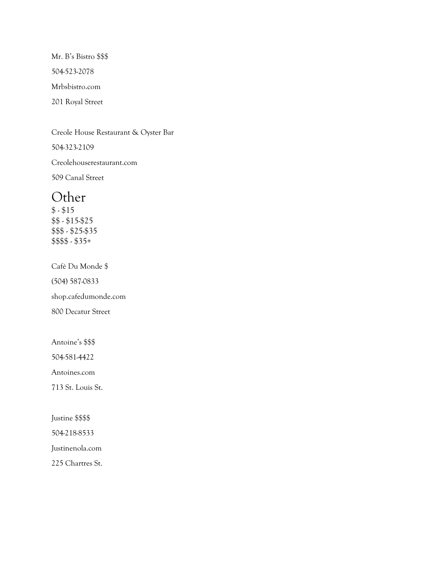Mr. B's Bistro \$\$\$ 504-523-2078 Mrbsbistro.com 201 Royal Street

Creole House Restaurant & Oyster Bar

504-323-2109

Creolehouserestaurant.com

509 Canal Street

### **Other**

 $$ - $15$ \$\$ - \$15-\$25 \$\$\$ - \$25-\$35 \$\$\$\$ - \$35+

Café Du Monde \$ (504) 587-0833 shop.cafedumonde.com 800 Decatur Street

Antoine's \$\$\$

504-581-4422

Antoines.com

713 St. Louis St.

Justine \$\$\$\$

504-218-8533

Justinenola.com

225 Chartres St.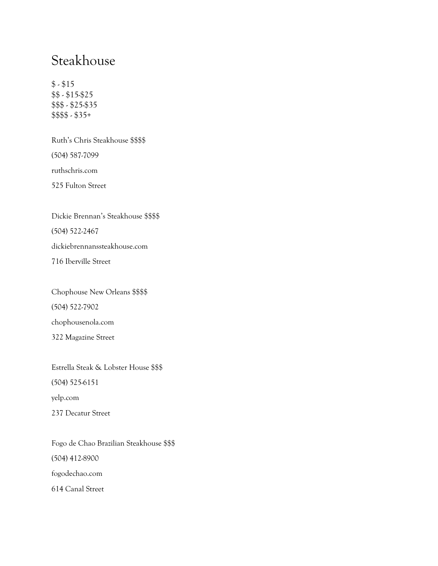## Steakhouse

 $$ - $15$ \$\$ - \$15-\$25 \$\$\$ - \$25-\$35 \$\$\$\$ - \$35+

Ruth's Chris Steakhouse \$\$\$\$ (504) 587-7099 ruthschris.com 525 Fulton Street

Dickie Brennan's Steakhouse \$\$\$\$ (504) 522-2467 dickiebrennanssteakhouse.com 716 Iberville Street

Chophouse New Orleans \$\$\$\$ (504) 522-7902 chophousenola.com 322 Magazine Street

Estrella Steak & Lobster House \$\$\$ (504) 525-6151 yelp.com 237 Decatur Street

Fogo de Chao Brazilian Steakhouse \$\$\$ (504) 412-8900 fogodechao.com 614 Canal Street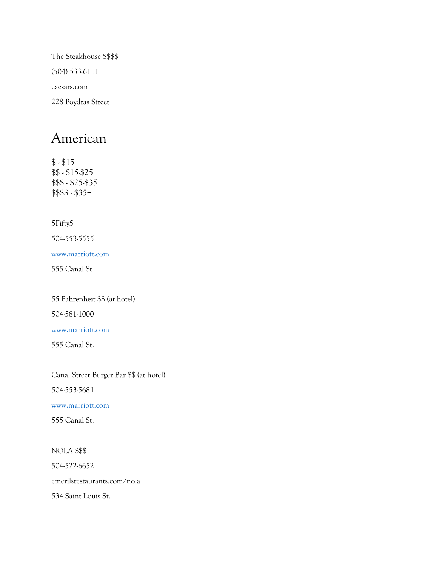The Steakhouse \$\$\$\$ (504) 533-6111 caesars.com 228 Poydras Street

## American

 $$ - $15$ \$\$ - \$15-\$25 \$\$\$ - \$25-\$35 \$\$\$\$ - \$35+

5Fifty5

504-553-5555

[www.marriott.com](http://www.marriott.com/)

555 Canal St.

55 Fahrenheit \$\$ (at hotel)

504-581-1000

[www.marriott.com](http://www.marriott.com/)

555 Canal St.

Canal Street Burger Bar \$\$ (at hotel) 504-553-5681

[www.marriott.com](http://www.marriott.com/)

555 Canal St.

NOLA \$\$\$ 504-522-6652 emerilsrestaurants.com/nola 534 Saint Louis St.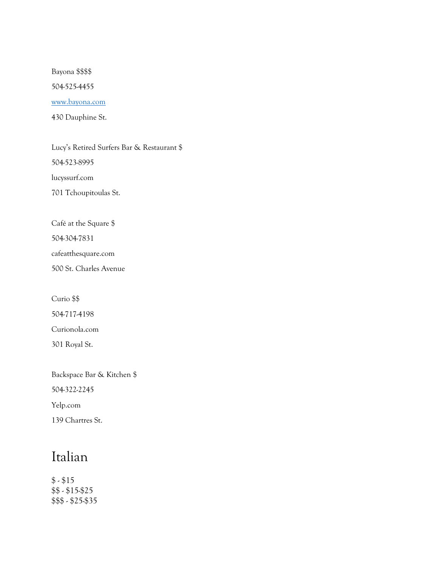Bayona \$\$\$\$

504-525-4455

#### [www.bayona.com](http://www.bayona.com/)

430 Dauphine St.

Lucy's Retired Surfers Bar & Restaurant \$ 504-523-8995 lucyssurf.com 701 Tchoupitoulas St.

Café at the Square \$ 504-304-7831 cafeatthesquare.com 500 St. Charles Avenue

Curio \$\$ 504-717-4198 Curionola.com 301 Royal St.

Backspace Bar & Kitchen \$ 504-322-2245 Yelp.com 139 Chartres St.

# Italian

 $$ - $15$ \$\$ - \$15-\$25 \$\$\$ - \$25-\$35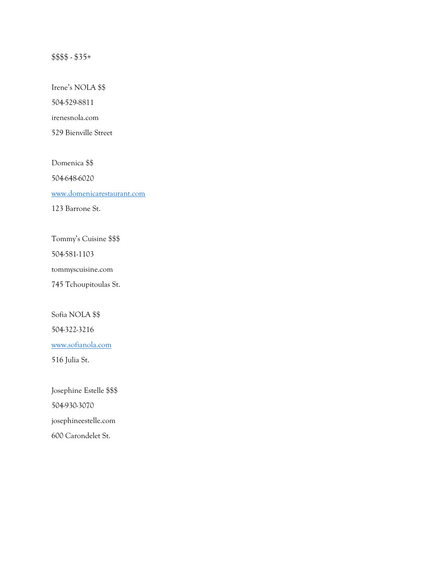### \$\$\$\$ - \$35+

Irene's NOLA \$\$

504-529-8811

irenesnola.com

529 Bienville Street

Domenica \$\$ 504-648-6020 [www.domenicarestaurant.com](http://www.domenicarestaurant.com/)

123 Barrone St.

Tommy's Cuisine \$\$\$

504-581-1103

tommyscuisine.com

745 Tchoupitoulas St.

Sofia NOLA \$\$ 504-322-3216

[www.sofianola.com](http://www.sofianola.com/)

516 Julia St.

Josephine Estelle \$\$\$ 504-930-3070 josephineestelle.com 600 Carondelet St.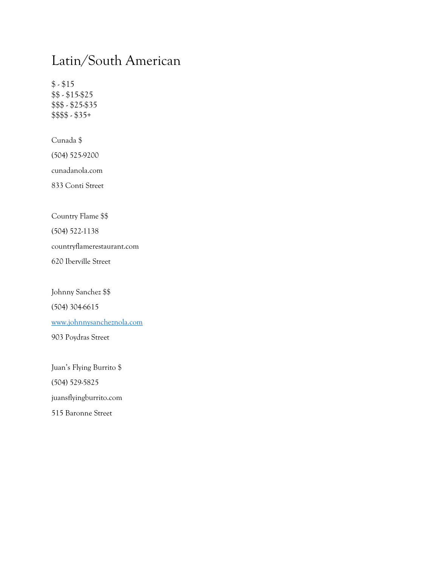# Latin/South American

 $$ - $15$ \$\$ - \$15-\$25 \$\$\$ - \$25-\$35 \$\$\$\$ - \$35+

Cunada \$ (504) 525-9200 cunadanola.com

833 Conti Street

Country Flame \$\$

(504) 522-1138

countryflamerestaurant.com

620 Iberville Street

Johnny Sanchez \$\$ (504) 304-6615 [www.johnnysancheznola.com](http://www.johnnysancheznola.com/)

903 Poydras Street

Juan's Flying Burrito \$ (504) 529-5825 juansflyingburrito.com 515 Baronne Street